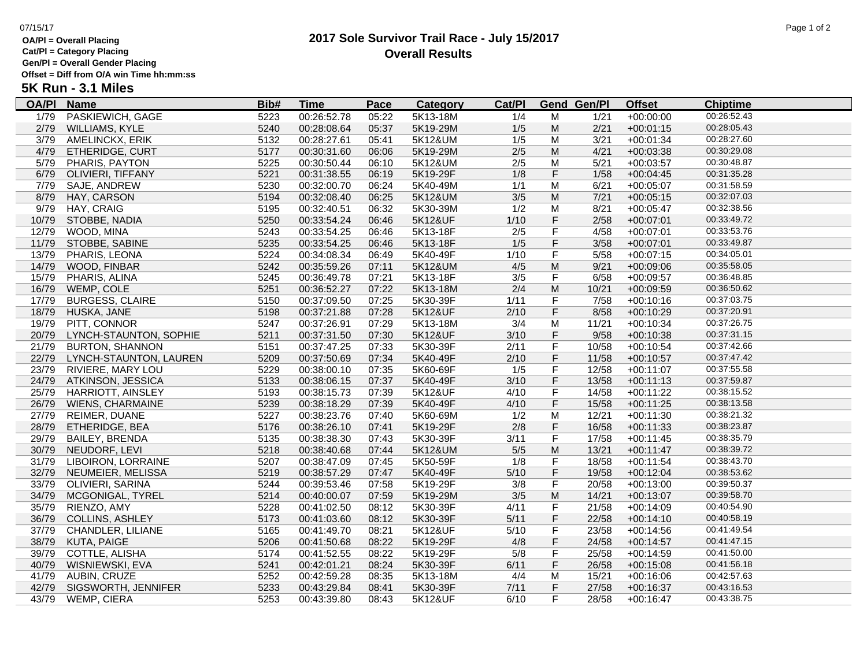**OA/Pl = Overall Placing**

### **Cat/Pl = Category Placing**

**Gen/Pl = Overall Gender Placing**

**Offset = Diff from O/A win Time hh:mm:ss**

# **5K Run - 3.1 Miles**

| <u>OA/PI</u> | <b>Name</b>              | Bib# | <u>Time</u> | <b>Pace</b> | <b>Category</b> | Cat/PI |                         | <b>Gend Gen/Pl</b> | <b>Offset</b> | <b>Chiptime</b> |
|--------------|--------------------------|------|-------------|-------------|-----------------|--------|-------------------------|--------------------|---------------|-----------------|
| 1/79         | PASKIEWICH, GAGE         | 5223 | 00:26:52.78 | 05:22       | 5K13-18M        | 1/4    | М                       | 1/21               | $+00:00:00$   | 00:26:52.43     |
| 2/79         | WILLIAMS, KYLE           | 5240 | 00:28:08.64 | 05:37       | 5K19-29M        | 1/5    | M                       | 2/21               | $+00:01:15$   | 00:28:05.43     |
| 3/79         | AMELINCKX, ERIK          | 5132 | 00:28:27.61 | 05:41       | 5K12&UM         | 1/5    | M                       | 3/21               | $+00:01:34$   | 00:28:27.60     |
| 4/79         | ETHERIDGE, CURT          | 5177 | 00:30:31.60 | 06:06       | 5K19-29M        | $2/5$  | M                       | 4/21               | $+00:03:38$   | 00:30:29.08     |
| 5/79         | PHARIS, PAYTON           | 5225 | 00:30:50.44 | 06:10       | 5K12&UM         | 2/5    | M                       | 5/21               | $+00:03:57$   | 00:30:48.87     |
| 6/79         | OLIVIERI, TIFFANY        | 5221 | 00:31:38.55 | 06:19       | 5K19-29F        | 1/8    | $\mathsf F$             | 1/58               | $+00:04:45$   | 00:31:35.28     |
| 7/79         | SAJE, ANDREW             | 5230 | 00:32:00.70 | 06:24       | 5K40-49M        | 1/1    | M                       | 6/21               | $+00:05:07$   | 00:31:58.59     |
| 8/79         | HAY, CARSON              | 5194 | 00:32:08.40 | 06:25       | 5K12&UM         | $3/5$  | M                       | 7/21               | $+00:05:15$   | 00:32:07.03     |
| 9/79         | HAY, CRAIG               | 5195 | 00:32:40.51 | 06:32       | 5K30-39M        | 1/2    | M                       | 8/21               | $+00:05:47$   | 00:32:38.56     |
| 10/79        | STOBBE, NADIA            | 5250 | 00:33:54.24 | 06:46       | 5K12&UF         | $1/10$ | $\mathsf F$             | 2/58               | $+00:07:01$   | 00:33:49.72     |
| 12/79        | WOOD, MINA               | 5243 | 00:33:54.25 | 06:46       | 5K13-18F        | 2/5    | F                       | 4/58               | $+00:07:01$   | 00:33:53.76     |
| 11/79        | STOBBE, SABINE           | 5235 | 00:33:54.25 | 06:46       | 5K13-18F        | 1/5    | $\mathsf F$             | 3/58               | $+00:07:01$   | 00:33:49.87     |
| 13/79        | PHARIS, LEONA            | 5224 | 00:34:08.34 | 06:49       | 5K40-49F        | 1/10   | $\overline{F}$          | 5/58               | $+00:07:15$   | 00:34:05.01     |
| 14/79        | WOOD, FINBAR             | 5242 | 00:35:59.26 | 07:11       | 5K12&UM         | 4/5    | M                       | 9/21               | $+00:09:06$   | 00:35:58.05     |
| 15/79        | PHARIS, ALINA            | 5245 | 00:36:49.78 | 07:21       | 5K13-18F        | 3/5    | F                       | 6/58               | $+00:09:57$   | 00:36:48.85     |
| 16/79        | WEMP, COLE               | 5251 | 00:36:52.27 | 07:22       | 5K13-18M        | 2/4    | M                       | 10/21              | $+00:09:59$   | 00:36:50.62     |
| 17/79        | <b>BURGESS, CLAIRE</b>   | 5150 | 00:37:09.50 | 07:25       | 5K30-39F        | 1/11   | F                       | 7/58               | $+00:10:16$   | 00:37:03.75     |
| 18/79        | HUSKA, JANE              | 5198 | 00:37:21.88 | 07:28       | 5K12&UF         | 2/10   | F                       | 8/58               | $+00:10:29$   | 00:37:20.91     |
| 19/79        | PITT, CONNOR             | 5247 | 00:37:26.91 | 07:29       | 5K13-18M        | 3/4    | M                       | 11/21              | $+00:10:34$   | 00:37:26.75     |
| 20/79        | LYNCH-STAUNTON, SOPHIE   | 5211 | 00:37:31.50 | 07:30       | 5K12&UF         | 3/10   | $\mathsf F$             | 9/58               | $+00:10:38$   | 00:37:31.15     |
| 21/79        | <b>BURTON, SHANNON</b>   | 5151 | 00:37:47.25 | 07:33       | 5K30-39F        | 2/11   | F                       | 10/58              | $+00:10:54$   | 00:37:42.66     |
| 22/79        | LYNCH-STAUNTON, LAUREN   | 5209 | 00:37:50.69 | 07:34       | 5K40-49F        | 2/10   | F                       | 11/58              | $+00:10:57$   | 00:37:47.42     |
| 23/79        | RIVIERE, MARY LOU        | 5229 | 00:38:00.10 | 07:35       | 5K60-69F        | 1/5    | F                       | 12/58              | $+00:11:07$   | 00:37:55.58     |
| 24/79        | ATKINSON, JESSICA        | 5133 | 00:38:06.15 | 07:37       | 5K40-49F        | 3/10   | $\mathsf F$             | 13/58              | $+00:11:13$   | 00:37:59.87     |
| 25/79        | HARRIOTT, AINSLEY        | 5193 | 00:38:15.73 | 07:39       | 5K12&UF         | 4/10   | F                       | 14/58              | $+00:11:22$   | 00:38:15.52     |
| 26/79        | <b>WIENS, CHARMAINE</b>  | 5239 | 00:38:18.29 | 07:39       | 5K40-49F        | 4/10   | F                       | 15/58              | $+00:11:25$   | 00:38:13.58     |
| 27/79        | REIMER, DUANE            | 5227 | 00:38:23.76 | 07:40       | 5K60-69M        | 1/2    | M                       | 12/21              | $+00:11:30$   | 00:38:21.32     |
| 28/79        | ETHERIDGE, BEA           | 5176 | 00:38:26.10 | 07:41       | 5K19-29F        | 2/8    | F                       | 16/58              | $+00:11:33$   | 00:38:23.87     |
| 29/79        | <b>BAILEY, BRENDA</b>    | 5135 | 00:38:38.30 | 07:43       | 5K30-39F        | 3/11   | F                       | 17/58              | $+00:11:45$   | 00:38:35.79     |
| 30/79        | NEUDORF, LEVI            | 5218 | 00:38:40.68 | 07:44       | 5K12&UM         | $5/5$  | M                       | 13/21              | $+00:11:47$   | 00:38:39.72     |
| 31/79        | LIBOIRON, LORRAINE       | 5207 | 00:38:47.09 | 07:45       | 5K50-59F        | 1/8    | F                       | 18/58              | $+00:11:54$   | 00:38:43.70     |
| 32/79        | NEUMEIER, MELISSA        | 5219 | 00:38:57.29 | 07:47       | 5K40-49F        | $5/10$ | F                       | 19/58              | $+00:12:04$   | 00:38:53.62     |
| 33/79        | OLIVIERI, SARINA         | 5244 | 00:39:53.46 | 07:58       | 5K19-29F        | 3/8    | F                       | 20/58              | $+00:13:00$   | 00:39:50.37     |
| 34/79        | MCGONIGAL, TYREL         | 5214 | 00:40:00.07 | 07:59       | 5K19-29M        | 3/5    | M                       | 14/21              | $+00:13:07$   | 00:39:58.70     |
| 35/79        | RIENZO, AMY              | 5228 | 00:41:02.50 | 08:12       | 5K30-39F        | 4/11   | $\overline{\mathsf{F}}$ | 21/58              | $+00:14:09$   | 00:40:54.90     |
| 36/79        | <b>COLLINS, ASHLEY</b>   | 5173 | 00:41:03.60 | 08:12       | 5K30-39F        | 5/11   | $\mathsf F$             | 22/58              | $+00:14:10$   | 00:40:58.19     |
| 37/79        | <b>CHANDLER, LILIANE</b> | 5165 | 00:41:49.70 | 08:21       | 5K12&UF         | 5/10   | F                       | 23/58              | $+00:14:56$   | 00:41:49.54     |
| 38/79        | <b>KUTA, PAIGE</b>       | 5206 | 00:41:50.68 | 08:22       | 5K19-29F        | 4/8    | F                       | 24/58              | $+00:14:57$   | 00:41:47.15     |
| 39/79        | COTTLE, ALISHA           | 5174 | 00:41:52.55 | 08:22       | 5K19-29F        | 5/8    | F                       | 25/58              | $+00:14:59$   | 00:41:50.00     |
| 40/79        | WISNIEWSKI, EVA          | 5241 | 00:42:01.21 | 08:24       | 5K30-39F        | 6/11   | F                       | 26/58              | $+00:15:08$   | 00:41:56.18     |
| 41/79        | AUBIN, CRUZE             | 5252 | 00:42:59.28 | 08:35       | 5K13-18M        | 4/4    | М                       | 15/21              | $+00:16:06$   | 00:42:57.63     |
| 42/79        | SIGSWORTH, JENNIFER      | 5233 | 00:43:29.84 | 08:41       | 5K30-39F        | 7/11   | $\mathsf F$             | 27/58              | $+00:16:37$   | 00:43:16.53     |
| 43/79        | WEMP, CIERA              | 5253 | 00:43:39.80 | 08:43       | 5K12&UF         | 6/10   | F                       | 28/58              | $+00:16:47$   | 00:43:38.75     |

### **2017 Sole Survivor Trail Race - July 15/2017** 07/15/17 Page 1 of 2 **Overall Results**